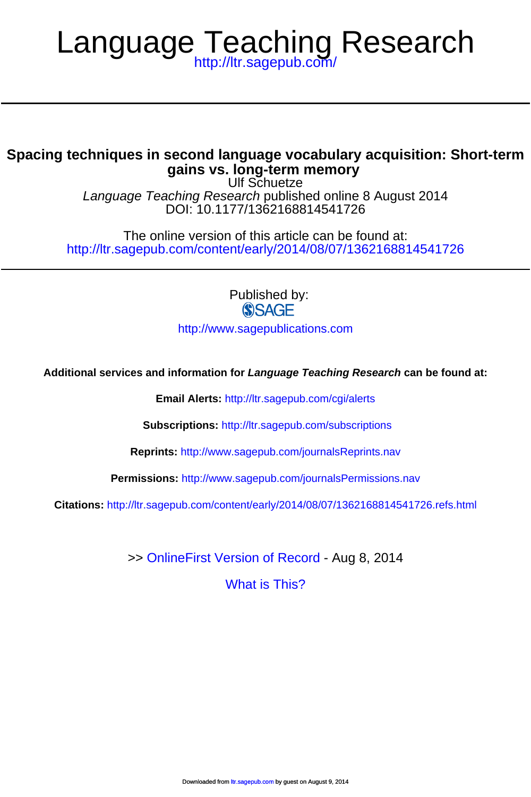# Language Teaching Research

<http://ltr.sagepub.com/>

# **gains vs. long-term memory Spacing techniques in second language vocabulary acquisition: Short-term**

DOI: 10.1177/1362168814541726 Language Teaching Research published online 8 August 2014 Ulf Schuetze

<http://ltr.sagepub.com/content/early/2014/08/07/1362168814541726> The online version of this article can be found at:

> Published by: **SSAGE**

<http://www.sagepublications.com>

**Additional services and information for Language Teaching Research can be found at:**

**Email Alerts:** <http://ltr.sagepub.com/cgi/alerts>

**Subscriptions:** <http://ltr.sagepub.com/subscriptions>

**Reprints:** <http://www.sagepub.com/journalsReprints.nav>

**Permissions:** <http://www.sagepub.com/journalsPermissions.nav>

**Citations:** <http://ltr.sagepub.com/content/early/2014/08/07/1362168814541726.refs.html>

>> [OnlineFirst Version of Record -](http://ltr.sagepub.com/content/early/2014/08/07/1362168814541726.full.pdf) Aug 8, 2014

[What is This?](http://online.sagepub.com/site/sphelp/vorhelp.xhtml)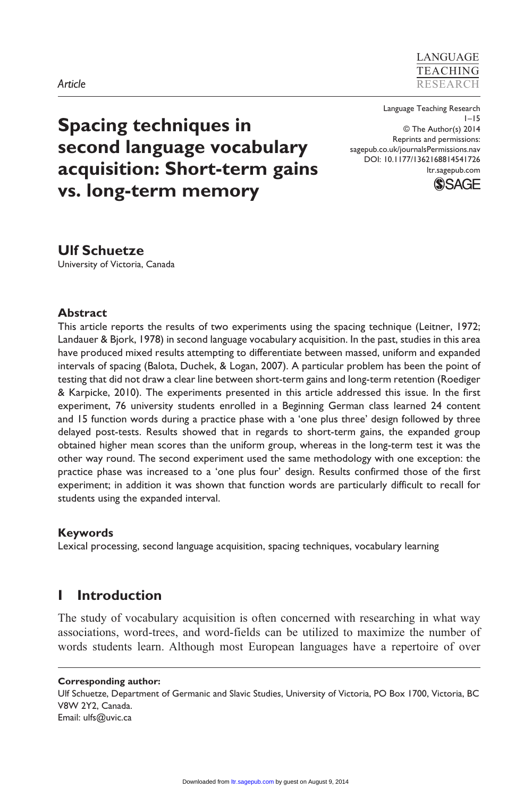

**Spacing techniques in second language vocabulary acquisition: Short-term gains vs. long-term memory**

Language Teaching Research 1–15 © The Author(s) 2014 Reprints and permissions: sagepub.co.uk/journalsPermissions.nav DOI: 10.1177/1362168814541726 ltr.sagepub.com



**Ulf Schuetze**

University of Victoria, Canada

#### **Abstract**

This article reports the results of two experiments using the spacing technique (Leitner, 1972; Landauer & Bjork, 1978) in second language vocabulary acquisition. In the past, studies in this area have produced mixed results attempting to differentiate between massed, uniform and expanded intervals of spacing (Balota, Duchek, & Logan, 2007). A particular problem has been the point of testing that did not draw a clear line between short-term gains and long-term retention (Roediger & Karpicke, 2010). The experiments presented in this article addressed this issue. In the first experiment, 76 university students enrolled in a Beginning German class learned 24 content and 15 function words during a practice phase with a 'one plus three' design followed by three delayed post-tests. Results showed that in regards to short-term gains, the expanded group obtained higher mean scores than the uniform group, whereas in the long-term test it was the other way round. The second experiment used the same methodology with one exception: the practice phase was increased to a 'one plus four' design. Results confirmed those of the first experiment; in addition it was shown that function words are particularly difficult to recall for students using the expanded interval.

## **Keywords**

Lexical processing, second language acquisition, spacing techniques, vocabulary learning

# **I Introduction**

The study of vocabulary acquisition is often concerned with researching in what way associations, word-trees, and word-fields can be utilized to maximize the number of words students learn. Although most European languages have a repertoire of over

#### **Corresponding author:**

Ulf Schuetze, Department of Germanic and Slavic Studies, University of Victoria, PO Box 1700, Victoria, BC V8W 2Y2, Canada. Email: ulfs@uvic.ca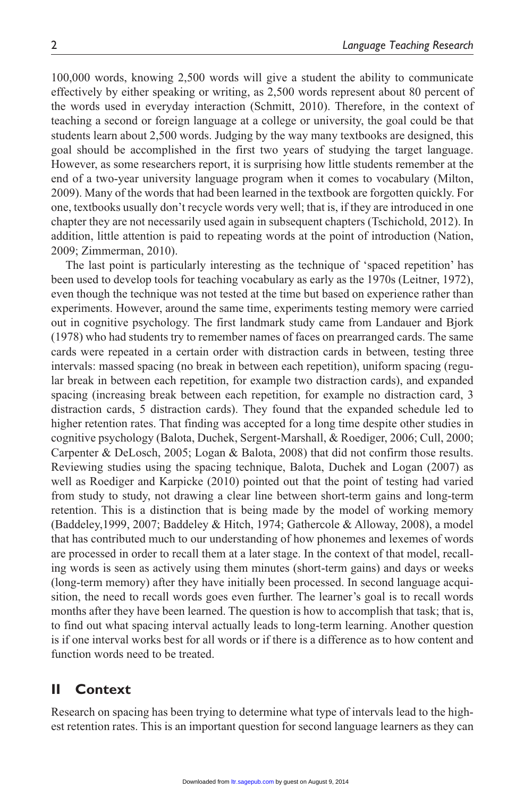100,000 words, knowing 2,500 words will give a student the ability to communicate effectively by either speaking or writing, as 2,500 words represent about 80 percent of the words used in everyday interaction (Schmitt, 2010). Therefore, in the context of teaching a second or foreign language at a college or university, the goal could be that students learn about 2,500 words. Judging by the way many textbooks are designed, this goal should be accomplished in the first two years of studying the target language. However, as some researchers report, it is surprising how little students remember at the end of a two-year university language program when it comes to vocabulary (Milton, 2009). Many of the words that had been learned in the textbook are forgotten quickly. For one, textbooks usually don't recycle words very well; that is, if they are introduced in one chapter they are not necessarily used again in subsequent chapters (Tschichold, 2012). In addition, little attention is paid to repeating words at the point of introduction (Nation, 2009; Zimmerman, 2010).

The last point is particularly interesting as the technique of 'spaced repetition' has been used to develop tools for teaching vocabulary as early as the 1970s (Leitner, 1972), even though the technique was not tested at the time but based on experience rather than experiments. However, around the same time, experiments testing memory were carried out in cognitive psychology. The first landmark study came from Landauer and Bjork (1978) who had students try to remember names of faces on prearranged cards. The same cards were repeated in a certain order with distraction cards in between, testing three intervals: massed spacing (no break in between each repetition), uniform spacing (regular break in between each repetition, for example two distraction cards), and expanded spacing (increasing break between each repetition, for example no distraction card, 3 distraction cards, 5 distraction cards). They found that the expanded schedule led to higher retention rates. That finding was accepted for a long time despite other studies in cognitive psychology (Balota, Duchek, Sergent-Marshall, & Roediger, 2006; Cull, 2000; Carpenter & DeLosch, 2005; Logan & Balota, 2008) that did not confirm those results. Reviewing studies using the spacing technique, Balota, Duchek and Logan (2007) as well as Roediger and Karpicke (2010) pointed out that the point of testing had varied from study to study, not drawing a clear line between short-term gains and long-term retention. This is a distinction that is being made by the model of working memory (Baddeley,1999, 2007; Baddeley & Hitch, 1974; Gathercole & Alloway, 2008), a model that has contributed much to our understanding of how phonemes and lexemes of words are processed in order to recall them at a later stage. In the context of that model, recalling words is seen as actively using them minutes (short-term gains) and days or weeks (long-term memory) after they have initially been processed. In second language acquisition, the need to recall words goes even further. The learner's goal is to recall words months after they have been learned. The question is how to accomplish that task; that is, to find out what spacing interval actually leads to long-term learning. Another question is if one interval works best for all words or if there is a difference as to how content and function words need to be treated.

# **II Context**

Research on spacing has been trying to determine what type of intervals lead to the highest retention rates. This is an important question for second language learners as they can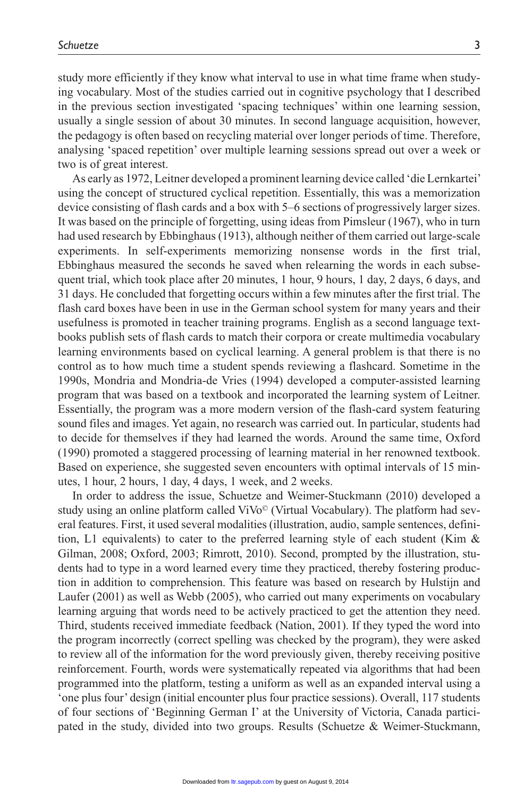study more efficiently if they know what interval to use in what time frame when studying vocabulary. Most of the studies carried out in cognitive psychology that I described in the previous section investigated 'spacing techniques' within one learning session, usually a single session of about 30 minutes. In second language acquisition, however, the pedagogy is often based on recycling material over longer periods of time. Therefore, analysing 'spaced repetition' over multiple learning sessions spread out over a week or two is of great interest.

As early as 1972, Leitner developed a prominent learning device called 'die Lernkartei' using the concept of structured cyclical repetition. Essentially, this was a memorization device consisting of flash cards and a box with 5–6 sections of progressively larger sizes. It was based on the principle of forgetting, using ideas from Pimsleur (1967), who in turn had used research by Ebbinghaus (1913), although neither of them carried out large-scale experiments. In self-experiments memorizing nonsense words in the first trial, Ebbinghaus measured the seconds he saved when relearning the words in each subsequent trial, which took place after 20 minutes, 1 hour, 9 hours, 1 day, 2 days, 6 days, and 31 days. He concluded that forgetting occurs within a few minutes after the first trial. The flash card boxes have been in use in the German school system for many years and their usefulness is promoted in teacher training programs. English as a second language textbooks publish sets of flash cards to match their corpora or create multimedia vocabulary learning environments based on cyclical learning. A general problem is that there is no control as to how much time a student spends reviewing a flashcard. Sometime in the 1990s, Mondria and Mondria-de Vries (1994) developed a computer-assisted learning program that was based on a textbook and incorporated the learning system of Leitner. Essentially, the program was a more modern version of the flash-card system featuring sound files and images. Yet again, no research was carried out. In particular, students had to decide for themselves if they had learned the words. Around the same time, Oxford (1990) promoted a staggered processing of learning material in her renowned textbook. Based on experience, she suggested seven encounters with optimal intervals of 15 minutes, 1 hour, 2 hours, 1 day, 4 days, 1 week, and 2 weeks.

In order to address the issue, Schuetze and Weimer-Stuckmann (2010) developed a study using an online platform called ViVo $\textdegree$  (Virtual Vocabulary). The platform had several features. First, it used several modalities (illustration, audio, sample sentences, definition, L1 equivalents) to cater to the preferred learning style of each student (Kim  $\&$ Gilman, 2008; Oxford, 2003; Rimrott, 2010). Second, prompted by the illustration, students had to type in a word learned every time they practiced, thereby fostering production in addition to comprehension. This feature was based on research by Hulstijn and Laufer (2001) as well as Webb (2005), who carried out many experiments on vocabulary learning arguing that words need to be actively practiced to get the attention they need. Third, students received immediate feedback (Nation, 2001). If they typed the word into the program incorrectly (correct spelling was checked by the program), they were asked to review all of the information for the word previously given, thereby receiving positive reinforcement. Fourth, words were systematically repeated via algorithms that had been programmed into the platform, testing a uniform as well as an expanded interval using a 'one plus four' design (initial encounter plus four practice sessions). Overall, 117 students of four sections of 'Beginning German I' at the University of Victoria, Canada participated in the study, divided into two groups. Results (Schuetze & Weimer-Stuckmann,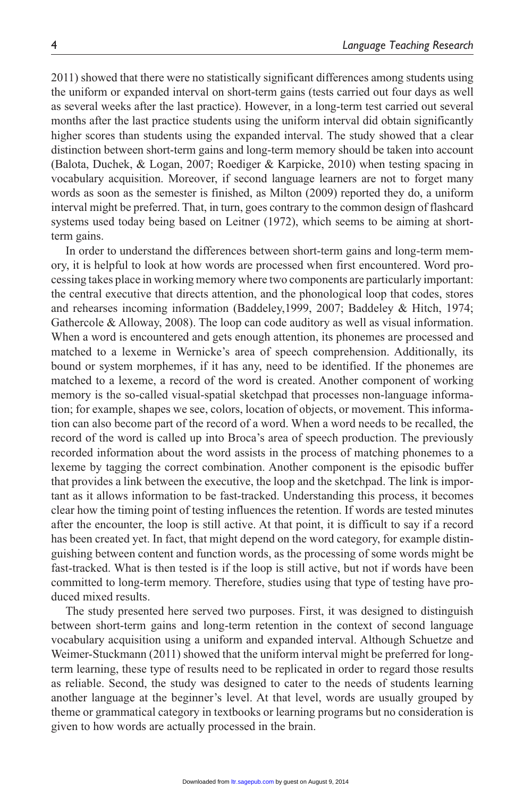2011) showed that there were no statistically significant differences among students using the uniform or expanded interval on short-term gains (tests carried out four days as well as several weeks after the last practice). However, in a long-term test carried out several months after the last practice students using the uniform interval did obtain significantly higher scores than students using the expanded interval. The study showed that a clear distinction between short-term gains and long-term memory should be taken into account (Balota, Duchek, & Logan, 2007; Roediger & Karpicke, 2010) when testing spacing in vocabulary acquisition. Moreover, if second language learners are not to forget many words as soon as the semester is finished, as Milton (2009) reported they do, a uniform interval might be preferred. That, in turn, goes contrary to the common design of flashcard systems used today being based on Leitner (1972), which seems to be aiming at shortterm gains.

In order to understand the differences between short-term gains and long-term memory, it is helpful to look at how words are processed when first encountered. Word processing takes place in working memory where two components are particularly important: the central executive that directs attention, and the phonological loop that codes, stores and rehearses incoming information (Baddeley,1999, 2007; Baddeley & Hitch, 1974; Gathercole & Alloway, 2008). The loop can code auditory as well as visual information. When a word is encountered and gets enough attention, its phonemes are processed and matched to a lexeme in Wernicke's area of speech comprehension. Additionally, its bound or system morphemes, if it has any, need to be identified. If the phonemes are matched to a lexeme, a record of the word is created. Another component of working memory is the so-called visual-spatial sketchpad that processes non-language information; for example, shapes we see, colors, location of objects, or movement. This information can also become part of the record of a word. When a word needs to be recalled, the record of the word is called up into Broca's area of speech production. The previously recorded information about the word assists in the process of matching phonemes to a lexeme by tagging the correct combination. Another component is the episodic buffer that provides a link between the executive, the loop and the sketchpad. The link is important as it allows information to be fast-tracked. Understanding this process, it becomes clear how the timing point of testing influences the retention. If words are tested minutes after the encounter, the loop is still active. At that point, it is difficult to say if a record has been created yet. In fact, that might depend on the word category, for example distinguishing between content and function words, as the processing of some words might be fast-tracked. What is then tested is if the loop is still active, but not if words have been committed to long-term memory. Therefore, studies using that type of testing have produced mixed results.

The study presented here served two purposes. First, it was designed to distinguish between short-term gains and long-term retention in the context of second language vocabulary acquisition using a uniform and expanded interval. Although Schuetze and Weimer-Stuckmann (2011) showed that the uniform interval might be preferred for longterm learning, these type of results need to be replicated in order to regard those results as reliable. Second, the study was designed to cater to the needs of students learning another language at the beginner's level. At that level, words are usually grouped by theme or grammatical category in textbooks or learning programs but no consideration is given to how words are actually processed in the brain.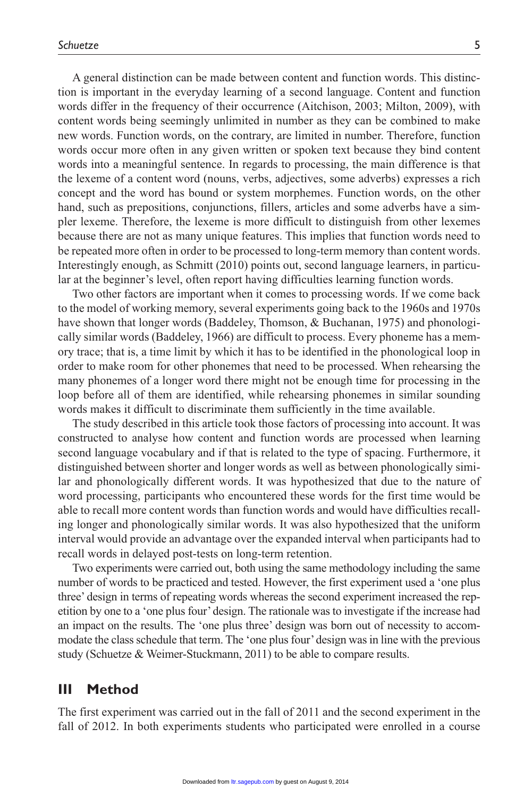A general distinction can be made between content and function words. This distinction is important in the everyday learning of a second language. Content and function words differ in the frequency of their occurrence (Aitchison, 2003; Milton, 2009), with content words being seemingly unlimited in number as they can be combined to make new words. Function words, on the contrary, are limited in number. Therefore, function words occur more often in any given written or spoken text because they bind content words into a meaningful sentence. In regards to processing, the main difference is that the lexeme of a content word (nouns, verbs, adjectives, some adverbs) expresses a rich concept and the word has bound or system morphemes. Function words, on the other hand, such as prepositions, conjunctions, fillers, articles and some adverbs have a simpler lexeme. Therefore, the lexeme is more difficult to distinguish from other lexemes because there are not as many unique features. This implies that function words need to be repeated more often in order to be processed to long-term memory than content words. Interestingly enough, as Schmitt (2010) points out, second language learners, in particular at the beginner's level, often report having difficulties learning function words.

Two other factors are important when it comes to processing words. If we come back to the model of working memory, several experiments going back to the 1960s and 1970s have shown that longer words (Baddeley, Thomson, & Buchanan, 1975) and phonologically similar words (Baddeley, 1966) are difficult to process. Every phoneme has a memory trace; that is, a time limit by which it has to be identified in the phonological loop in order to make room for other phonemes that need to be processed. When rehearsing the many phonemes of a longer word there might not be enough time for processing in the loop before all of them are identified, while rehearsing phonemes in similar sounding words makes it difficult to discriminate them sufficiently in the time available.

The study described in this article took those factors of processing into account. It was constructed to analyse how content and function words are processed when learning second language vocabulary and if that is related to the type of spacing. Furthermore, it distinguished between shorter and longer words as well as between phonologically similar and phonologically different words. It was hypothesized that due to the nature of word processing, participants who encountered these words for the first time would be able to recall more content words than function words and would have difficulties recalling longer and phonologically similar words. It was also hypothesized that the uniform interval would provide an advantage over the expanded interval when participants had to recall words in delayed post-tests on long-term retention.

Two experiments were carried out, both using the same methodology including the same number of words to be practiced and tested. However, the first experiment used a 'one plus three' design in terms of repeating words whereas the second experiment increased the repetition by one to a 'one plus four' design. The rationale was to investigate if the increase had an impact on the results. The 'one plus three' design was born out of necessity to accommodate the class schedule that term. The 'one plus four' design was in line with the previous study (Schuetze & Weimer-Stuckmann, 2011) to be able to compare results.

## **III Method**

The first experiment was carried out in the fall of 2011 and the second experiment in the fall of 2012. In both experiments students who participated were enrolled in a course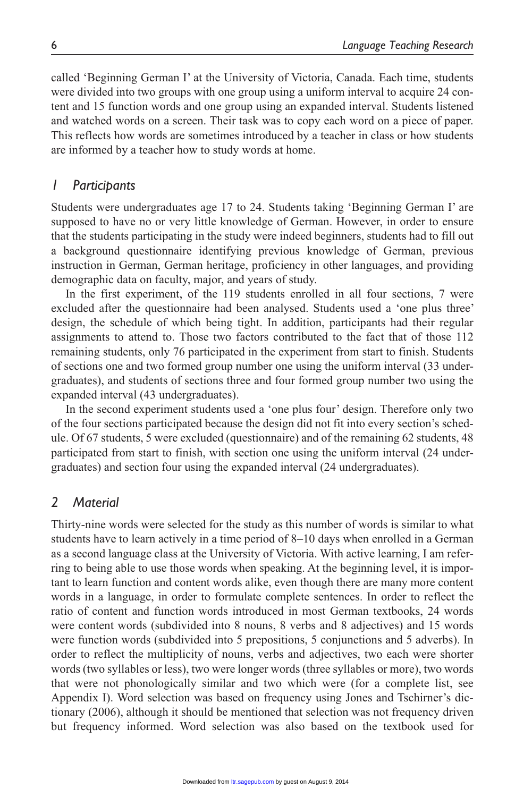called 'Beginning German I' at the University of Victoria, Canada. Each time, students were divided into two groups with one group using a uniform interval to acquire 24 content and 15 function words and one group using an expanded interval. Students listened and watched words on a screen. Their task was to copy each word on a piece of paper. This reflects how words are sometimes introduced by a teacher in class or how students are informed by a teacher how to study words at home.

### *1 Participants*

Students were undergraduates age 17 to 24. Students taking 'Beginning German I' are supposed to have no or very little knowledge of German. However, in order to ensure that the students participating in the study were indeed beginners, students had to fill out a background questionnaire identifying previous knowledge of German, previous instruction in German, German heritage, proficiency in other languages, and providing demographic data on faculty, major, and years of study.

In the first experiment, of the 119 students enrolled in all four sections, 7 were excluded after the questionnaire had been analysed. Students used a 'one plus three' design, the schedule of which being tight. In addition, participants had their regular assignments to attend to. Those two factors contributed to the fact that of those 112 remaining students, only 76 participated in the experiment from start to finish. Students of sections one and two formed group number one using the uniform interval (33 undergraduates), and students of sections three and four formed group number two using the expanded interval (43 undergraduates).

In the second experiment students used a 'one plus four' design. Therefore only two of the four sections participated because the design did not fit into every section's schedule. Of 67 students, 5 were excluded (questionnaire) and of the remaining 62 students, 48 participated from start to finish, with section one using the uniform interval (24 undergraduates) and section four using the expanded interval (24 undergraduates).

## *2 Material*

Thirty-nine words were selected for the study as this number of words is similar to what students have to learn actively in a time period of 8–10 days when enrolled in a German as a second language class at the University of Victoria. With active learning, I am referring to being able to use those words when speaking. At the beginning level, it is important to learn function and content words alike, even though there are many more content words in a language, in order to formulate complete sentences. In order to reflect the ratio of content and function words introduced in most German textbooks, 24 words were content words (subdivided into 8 nouns, 8 verbs and 8 adjectives) and 15 words were function words (subdivided into 5 prepositions, 5 conjunctions and 5 adverbs). In order to reflect the multiplicity of nouns, verbs and adjectives, two each were shorter words (two syllables or less), two were longer words (three syllables or more), two words that were not phonologically similar and two which were (for a complete list, see Appendix I). Word selection was based on frequency using Jones and Tschirner's dictionary (2006), although it should be mentioned that selection was not frequency driven but frequency informed. Word selection was also based on the textbook used for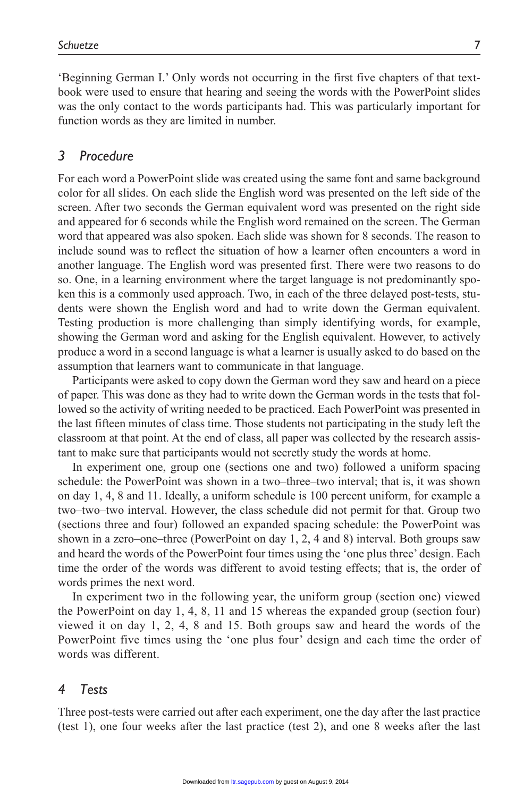'Beginning German I.' Only words not occurring in the first five chapters of that textbook were used to ensure that hearing and seeing the words with the PowerPoint slides was the only contact to the words participants had. This was particularly important for function words as they are limited in number.

#### *3 Procedure*

For each word a PowerPoint slide was created using the same font and same background color for all slides. On each slide the English word was presented on the left side of the screen. After two seconds the German equivalent word was presented on the right side and appeared for 6 seconds while the English word remained on the screen. The German word that appeared was also spoken. Each slide was shown for 8 seconds. The reason to include sound was to reflect the situation of how a learner often encounters a word in another language. The English word was presented first. There were two reasons to do so. One, in a learning environment where the target language is not predominantly spoken this is a commonly used approach. Two, in each of the three delayed post-tests, students were shown the English word and had to write down the German equivalent. Testing production is more challenging than simply identifying words, for example, showing the German word and asking for the English equivalent. However, to actively produce a word in a second language is what a learner is usually asked to do based on the assumption that learners want to communicate in that language.

Participants were asked to copy down the German word they saw and heard on a piece of paper. This was done as they had to write down the German words in the tests that followed so the activity of writing needed to be practiced. Each PowerPoint was presented in the last fifteen minutes of class time. Those students not participating in the study left the classroom at that point. At the end of class, all paper was collected by the research assistant to make sure that participants would not secretly study the words at home.

In experiment one, group one (sections one and two) followed a uniform spacing schedule: the PowerPoint was shown in a two–three–two interval; that is, it was shown on day 1, 4, 8 and 11. Ideally, a uniform schedule is 100 percent uniform, for example a two–two–two interval. However, the class schedule did not permit for that. Group two (sections three and four) followed an expanded spacing schedule: the PowerPoint was shown in a zero–one–three (PowerPoint on day 1, 2, 4 and 8) interval. Both groups saw and heard the words of the PowerPoint four times using the 'one plus three' design. Each time the order of the words was different to avoid testing effects; that is, the order of words primes the next word.

In experiment two in the following year, the uniform group (section one) viewed the PowerPoint on day 1, 4, 8, 11 and 15 whereas the expanded group (section four) viewed it on day 1, 2, 4, 8 and 15. Both groups saw and heard the words of the PowerPoint five times using the 'one plus four' design and each time the order of words was different.

#### *4 Tests*

Three post-tests were carried out after each experiment, one the day after the last practice (test 1), one four weeks after the last practice (test 2), and one 8 weeks after the last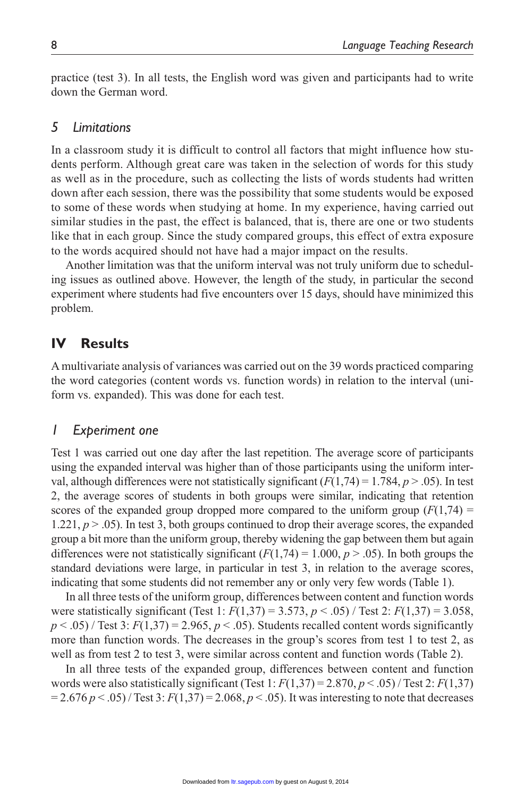practice (test 3). In all tests, the English word was given and participants had to write down the German word.

#### *5 Limitations*

In a classroom study it is difficult to control all factors that might influence how students perform. Although great care was taken in the selection of words for this study as well as in the procedure, such as collecting the lists of words students had written down after each session, there was the possibility that some students would be exposed to some of these words when studying at home. In my experience, having carried out similar studies in the past, the effect is balanced, that is, there are one or two students like that in each group. Since the study compared groups, this effect of extra exposure to the words acquired should not have had a major impact on the results.

Another limitation was that the uniform interval was not truly uniform due to scheduling issues as outlined above. However, the length of the study, in particular the second experiment where students had five encounters over 15 days, should have minimized this problem.

## **IV Results**

A multivariate analysis of variances was carried out on the 39 words practiced comparing the word categories (content words vs. function words) in relation to the interval (uniform vs. expanded). This was done for each test.

#### *1 Experiment one*

Test 1 was carried out one day after the last repetition. The average score of participants using the expanded interval was higher than of those participants using the uniform interval, although differences were not statistically significant  $(F(1,74) = 1.784, p > .05)$ . In test 2, the average scores of students in both groups were similar, indicating that retention scores of the expanded group dropped more compared to the uniform group  $(F(1,74) =$ 1.221,  $p > 0.05$ ). In test 3, both groups continued to drop their average scores, the expanded group a bit more than the uniform group, thereby widening the gap between them but again differences were not statistically significant  $(F(1,74) = 1.000, p > .05)$ . In both groups the standard deviations were large, in particular in test 3, in relation to the average scores, indicating that some students did not remember any or only very few words (Table 1).

In all three tests of the uniform group, differences between content and function words were statistically significant (Test 1: *F*(1,37) = 3.573, *p* < .05) / Test 2: *F*(1,37) = 3.058,  $p < .05$ ) / Test 3:  $F(1,37) = 2.965$ ,  $p < .05$ ). Students recalled content words significantly more than function words. The decreases in the group's scores from test 1 to test 2, as well as from test 2 to test 3, were similar across content and function words (Table 2).

In all three tests of the expanded group, differences between content and function words were also statistically significant (Test 1:  $F(1,37) = 2.870$ ,  $p < .05$ ) / Test 2:  $F(1,37)$  $= 2.676 \ p \le 0.05$  / Test 3:  $F(1,37) = 2.068$ ,  $p \le 0.05$ ). It was interesting to note that decreases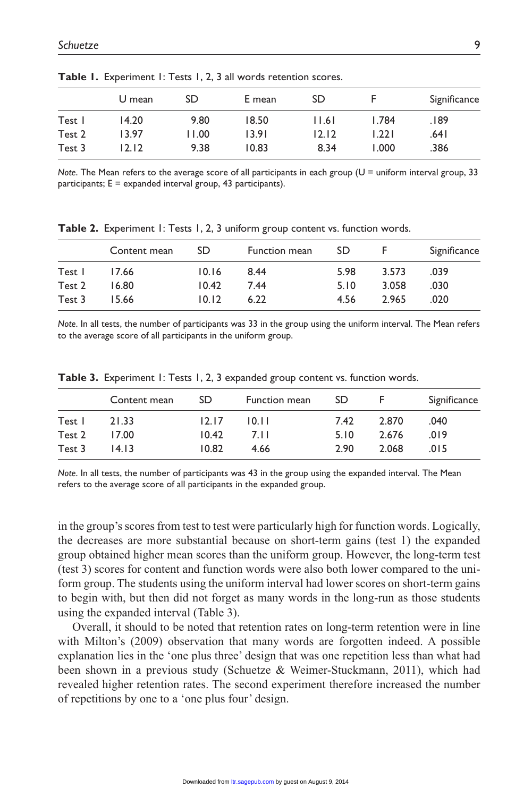|        | U mean | SD    | E mean | SD    |       | Significance |
|--------|--------|-------|--------|-------|-------|--------------|
| Test I | 14.20  | 9.80  | 18.50  | 1.6   | 1.784 | . 189        |
| Test 2 | 13.97  | 11.00 | 13.91  | 12.12 | 1.221 | .64 I        |
| Test 3 | 12.12  | 9.38  | 10.83  | 8.34  | 1.000 | .386         |

**Table 1.** Experiment 1: Tests 1, 2, 3 all words retention scores.

*Note*. The Mean refers to the average score of all participants in each group (U = uniform interval group, 33 participants; E = expanded interval group, 43 participants).

|        | Content mean | SD    | Function mean | SD   | E     | Significance |
|--------|--------------|-------|---------------|------|-------|--------------|
| Test I | 17.66        | 10.16 | 8.44          | 5.98 | 3.573 | .039         |
| Test 2 | 16.80        | 10.42 | 7.44          | 5.10 | 3.058 | .030         |
| Test 3 | 15.66        | 10.12 | 6.22          | 4.56 | 2.965 | .020         |

**Table 2.** Experiment 1: Tests 1, 2, 3 uniform group content vs. function words.

*Note*. In all tests, the number of participants was 33 in the group using the uniform interval. The Mean refers to the average score of all participants in the uniform group.

|        | Content mean | SD.   | Function mean | SD.  | $\mathbf{F}$ | Significance |
|--------|--------------|-------|---------------|------|--------------|--------------|
| Test   | 21.33        | 12.17 | 10.11         | 7.42 | 2.870        | .040         |
| Test 2 | 17.00        | 10.42 | 7 I I         | 5.10 | 2.676        | .019         |
| Test 3 | 14.13        | 10.82 | 4.66          | 2.90 | 2.068        | .015         |

**Table 3.** Experiment 1: Tests 1, 2, 3 expanded group content vs. function words.

*Note*. In all tests, the number of participants was 43 in the group using the expanded interval. The Mean refers to the average score of all participants in the expanded group.

in the group's scores from test to test were particularly high for function words. Logically, the decreases are more substantial because on short-term gains (test 1) the expanded group obtained higher mean scores than the uniform group. However, the long-term test (test 3) scores for content and function words were also both lower compared to the uniform group. The students using the uniform interval had lower scores on short-term gains to begin with, but then did not forget as many words in the long-run as those students using the expanded interval (Table 3).

Overall, it should to be noted that retention rates on long-term retention were in line with Milton's (2009) observation that many words are forgotten indeed. A possible explanation lies in the 'one plus three' design that was one repetition less than what had been shown in a previous study (Schuetze & Weimer-Stuckmann, 2011), which had revealed higher retention rates. The second experiment therefore increased the number of repetitions by one to a 'one plus four' design.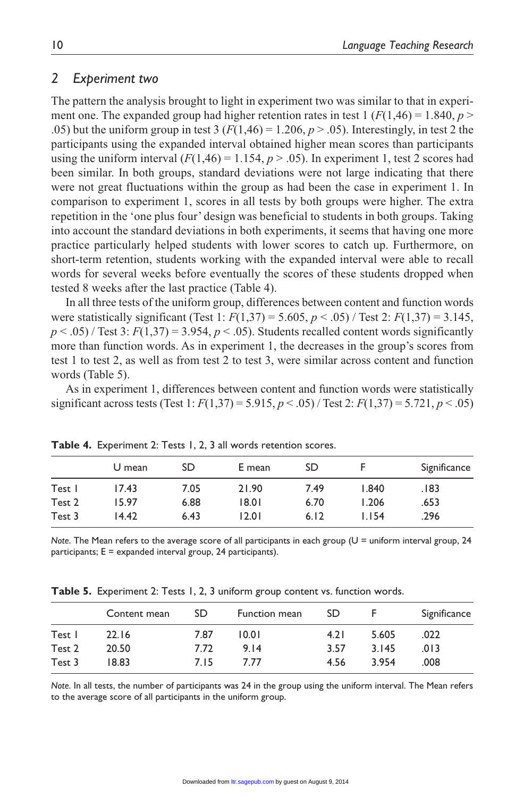## *2 Experiment two*

The pattern the analysis brought to light in experiment two was similar to that in experiment one. The expanded group had higher retention rates in test  $1 (F(1,46) = 1.840, p >$ .05) but the uniform group in test 3  $(F(1.46) = 1.206, p > .05)$ . Interestingly, in test 2 the participants using the expanded interval obtained higher mean scores than participants using the uniform interval  $(F(1,46) = 1.154, p > .05)$ . In experiment 1, test 2 scores had been similar. In both groups, standard deviations were not large indicating that there were not great fluctuations within the group as had been the case in experiment 1. In comparison to experiment 1, scores in all tests by both groups were higher. The extra repetition in the 'one plus four' design was beneficial to students in both groups. Taking into account the standard deviations in both experiments, it seems that having one more practice particularly helped students with lower scores to catch up. Furthermore, on short-term retention, students working with the expanded interval were able to recall words for several weeks before eventually the scores of these students dropped when tested 8 weeks after the last practice (Table 4).

In all three tests of the uniform group, differences between content and function words were statistically significant (Test 1:  $F(1,37) = 5.605$ ,  $p < .05$ ) / Test 2:  $F(1,37) = 3.145$ ,  $p < .05$ ) / Test 3:  $F(1,37) = 3.954$ ,  $p < .05$ ). Students recalled content words significantly more than function words. As in experiment 1, the decreases in the group's scores from test 1 to test 2, as well as from test 2 to test 3, were similar across content and function words (Table 5).

As in experiment 1, differences between content and function words were statistically significant across tests (Test 1: *F*(1,37) = 5.915, *p* < .05) / Test 2: *F*(1,37) = 5.721, *p* < .05)

| U mean | SD   | E mean | SD   |       | Significance |  |
|--------|------|--------|------|-------|--------------|--|
| 17.43  | 7.05 | 21.90  | 7.49 | 1.840 | .183         |  |
| 15.97  | 6.88 | 18.01  | 6.70 | 1.206 | .653         |  |
| 14.42  | 6.43 | 12.01  | 6.12 | I.I54 | .296         |  |
|        |      |        |      |       |              |  |

**Table 4.** Experiment 2: Tests 1, 2, 3 all words retention scores.

*Note*. The Mean refers to the average score of all participants in each group (U = uniform interval group, 24 participants; E = expanded interval group, 24 participants).

|        | Content mean | SD.  | Function mean | <b>SD</b> |       | Significance |
|--------|--------------|------|---------------|-----------|-------|--------------|
| Test I | 22.16        | 7.87 | 10.01         | 4.21      | 5.605 | .022         |
| Test 2 | 20.50        | 7.72 | 9.14          | 3.57      | 3.145 | .013         |
| Test 3 | 18.83        | 7.15 | 7 77          | 4.56      | 3.954 | .008         |

**Table 5.** Experiment 2: Tests 1, 2, 3 uniform group content vs. function words.

*Note*. In all tests, the number of participants was 24 in the group using the uniform interval. The Mean refers to the average score of all participants in the uniform group.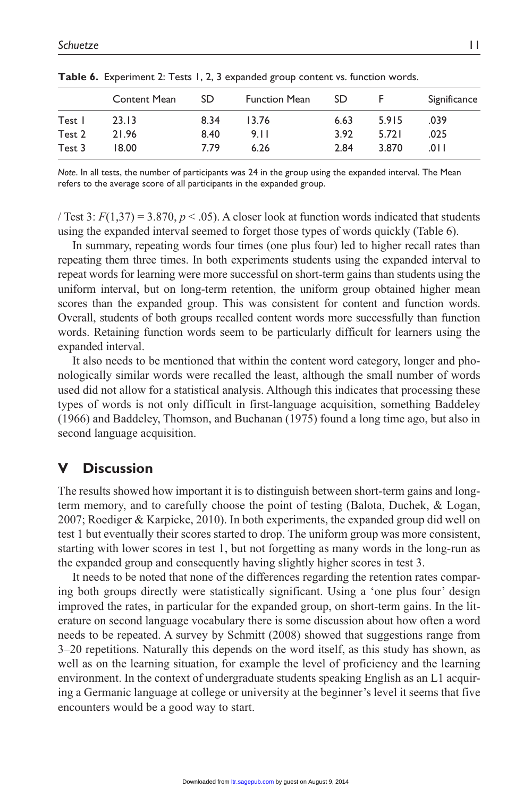|        | <b>Content Mean</b> | SD.  | <b>Function Mean</b> | SD   |       | Significance |
|--------|---------------------|------|----------------------|------|-------|--------------|
| Test I | 23.13               | 8.34 | 13.76                | 6.63 | 5.915 | .039         |
| Test 2 | 21.96               | 8.40 | 9.11                 | 3.92 | 5.721 | .025         |
| Test 3 | 18.00               | 7.79 | 6.26                 | 2.84 | 3.870 | .011         |

**Table 6.** Experiment 2: Tests 1, 2, 3 expanded group content vs. function words.

*Note*. In all tests, the number of participants was 24 in the group using the expanded interval. The Mean refers to the average score of all participants in the expanded group.

/ Test 3:  $F(1,37) = 3.870$ ,  $p < .05$ ). A closer look at function words indicated that students using the expanded interval seemed to forget those types of words quickly (Table 6).

In summary, repeating words four times (one plus four) led to higher recall rates than repeating them three times. In both experiments students using the expanded interval to repeat words for learning were more successful on short-term gains than students using the uniform interval, but on long-term retention, the uniform group obtained higher mean scores than the expanded group. This was consistent for content and function words. Overall, students of both groups recalled content words more successfully than function words. Retaining function words seem to be particularly difficult for learners using the expanded interval.

It also needs to be mentioned that within the content word category, longer and phonologically similar words were recalled the least, although the small number of words used did not allow for a statistical analysis. Although this indicates that processing these types of words is not only difficult in first-language acquisition, something Baddeley (1966) and Baddeley, Thomson, and Buchanan (1975) found a long time ago, but also in second language acquisition.

## **V Discussion**

The results showed how important it is to distinguish between short-term gains and longterm memory, and to carefully choose the point of testing (Balota, Duchek, & Logan, 2007; Roediger & Karpicke, 2010). In both experiments, the expanded group did well on test 1 but eventually their scores started to drop. The uniform group was more consistent, starting with lower scores in test 1, but not forgetting as many words in the long-run as the expanded group and consequently having slightly higher scores in test 3.

It needs to be noted that none of the differences regarding the retention rates comparing both groups directly were statistically significant. Using a 'one plus four' design improved the rates, in particular for the expanded group, on short-term gains. In the literature on second language vocabulary there is some discussion about how often a word needs to be repeated. A survey by Schmitt (2008) showed that suggestions range from 3–20 repetitions. Naturally this depends on the word itself, as this study has shown, as well as on the learning situation, for example the level of proficiency and the learning environment. In the context of undergraduate students speaking English as an L1 acquiring a Germanic language at college or university at the beginner's level it seems that five encounters would be a good way to start.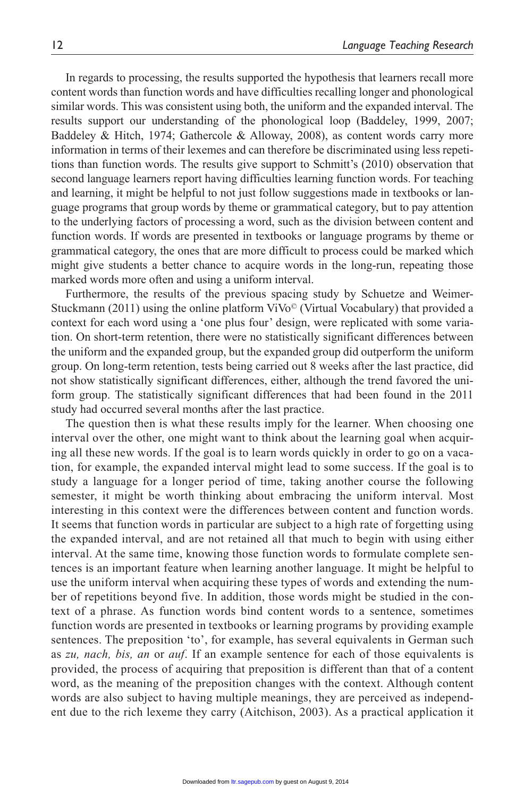In regards to processing, the results supported the hypothesis that learners recall more content words than function words and have difficulties recalling longer and phonological similar words. This was consistent using both, the uniform and the expanded interval. The results support our understanding of the phonological loop (Baddeley, 1999, 2007; Baddeley & Hitch, 1974; Gathercole & Alloway, 2008), as content words carry more information in terms of their lexemes and can therefore be discriminated using less repetitions than function words. The results give support to Schmitt's (2010) observation that second language learners report having difficulties learning function words. For teaching and learning, it might be helpful to not just follow suggestions made in textbooks or language programs that group words by theme or grammatical category, but to pay attention to the underlying factors of processing a word, such as the division between content and function words. If words are presented in textbooks or language programs by theme or grammatical category, the ones that are more difficult to process could be marked which might give students a better chance to acquire words in the long-run, repeating those marked words more often and using a uniform interval.

Furthermore, the results of the previous spacing study by Schuetze and Weimer-Stuckmann (2011) using the online platform ViVo<sup> $\circ$ </sup> (Virtual Vocabulary) that provided a context for each word using a 'one plus four' design, were replicated with some variation. On short-term retention, there were no statistically significant differences between the uniform and the expanded group, but the expanded group did outperform the uniform group. On long-term retention, tests being carried out 8 weeks after the last practice, did not show statistically significant differences, either, although the trend favored the uniform group. The statistically significant differences that had been found in the 2011 study had occurred several months after the last practice.

The question then is what these results imply for the learner. When choosing one interval over the other, one might want to think about the learning goal when acquiring all these new words. If the goal is to learn words quickly in order to go on a vacation, for example, the expanded interval might lead to some success. If the goal is to study a language for a longer period of time, taking another course the following semester, it might be worth thinking about embracing the uniform interval. Most interesting in this context were the differences between content and function words. It seems that function words in particular are subject to a high rate of forgetting using the expanded interval, and are not retained all that much to begin with using either interval. At the same time, knowing those function words to formulate complete sentences is an important feature when learning another language. It might be helpful to use the uniform interval when acquiring these types of words and extending the number of repetitions beyond five. In addition, those words might be studied in the context of a phrase. As function words bind content words to a sentence, sometimes function words are presented in textbooks or learning programs by providing example sentences. The preposition 'to', for example, has several equivalents in German such as *zu, nach, bis, an* or *auf*. If an example sentence for each of those equivalents is provided, the process of acquiring that preposition is different than that of a content word, as the meaning of the preposition changes with the context. Although content words are also subject to having multiple meanings, they are perceived as independent due to the rich lexeme they carry (Aitchison, 2003). As a practical application it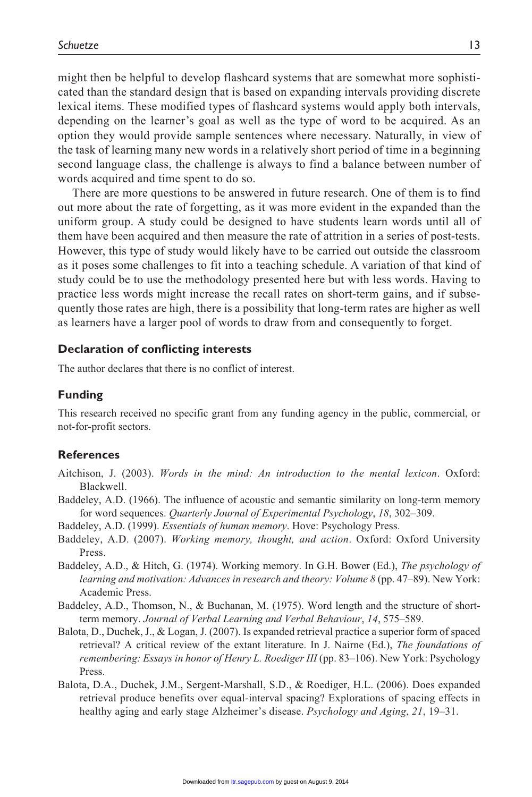might then be helpful to develop flashcard systems that are somewhat more sophisticated than the standard design that is based on expanding intervals providing discrete lexical items. These modified types of flashcard systems would apply both intervals, depending on the learner's goal as well as the type of word to be acquired. As an option they would provide sample sentences where necessary. Naturally, in view of the task of learning many new words in a relatively short period of time in a beginning second language class, the challenge is always to find a balance between number of words acquired and time spent to do so.

There are more questions to be answered in future research. One of them is to find out more about the rate of forgetting, as it was more evident in the expanded than the uniform group. A study could be designed to have students learn words until all of them have been acquired and then measure the rate of attrition in a series of post-tests. However, this type of study would likely have to be carried out outside the classroom as it poses some challenges to fit into a teaching schedule. A variation of that kind of study could be to use the methodology presented here but with less words. Having to practice less words might increase the recall rates on short-term gains, and if subsequently those rates are high, there is a possibility that long-term rates are higher as well as learners have a larger pool of words to draw from and consequently to forget.

#### **Declaration of conflicting interests**

The author declares that there is no conflict of interest.

#### **Funding**

This research received no specific grant from any funding agency in the public, commercial, or not-for-profit sectors.

#### **References**

- Aitchison, J. (2003). *Words in the mind: An introduction to the mental lexicon*. Oxford: Blackwell.
- Baddeley, A.D. (1966). The influence of acoustic and semantic similarity on long-term memory for word sequences. *Quarterly Journal of Experimental Psychology*, *18*, 302–309.
- Baddeley, A.D. (1999). *Essentials of human memory*. Hove: Psychology Press.
- Baddeley, A.D. (2007). *Working memory, thought, and action*. Oxford: Oxford University Press.
- Baddeley, A.D., & Hitch, G. (1974). Working memory. In G.H. Bower (Ed.), *The psychology of learning and motivation: Advances in research and theory: Volume 8* (pp. 47–89). New York: Academic Press.
- Baddeley, A.D., Thomson, N., & Buchanan, M. (1975). Word length and the structure of shortterm memory. *Journal of Verbal Learning and Verbal Behaviour*, *14*, 575–589.
- Balota, D., Duchek, J., & Logan, J. (2007). Is expanded retrieval practice a superior form of spaced retrieval? A critical review of the extant literature. In J. Nairne (Ed.), *The foundations of remembering: Essays in honor of Henry L. Roediger III* (pp. 83–106). New York: Psychology Press.
- Balota, D.A., Duchek, J.M., Sergent-Marshall, S.D., & Roediger, H.L. (2006). Does expanded retrieval produce benefits over equal-interval spacing? Explorations of spacing effects in healthy aging and early stage Alzheimer's disease. *Psychology and Aging*, *21*, 19–31.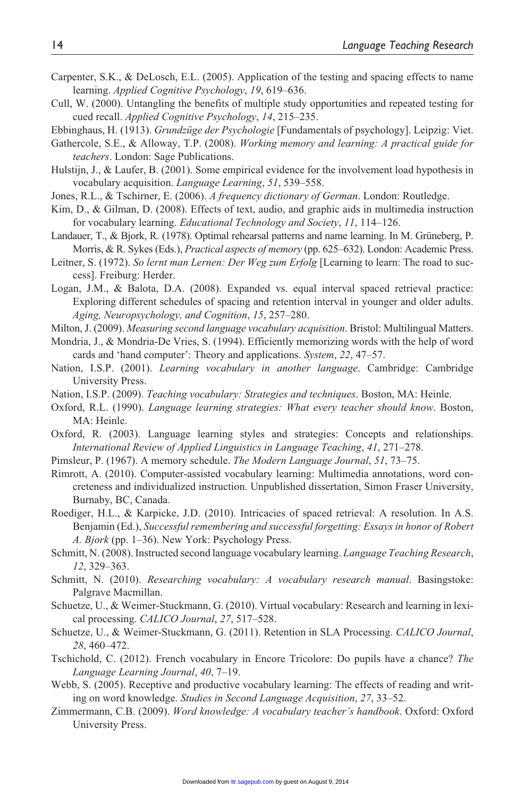- Carpenter, S.K., & DeLosch, E.L. (2005). Application of the testing and spacing effects to name learning. *Applied Cognitive Psychology*, *19*, 619–636.
- Cull, W. (2000). Untangling the benefits of multiple study opportunities and repeated testing for cued recall. *Applied Cognitive Psychology*, *14*, 215–235.

Ebbinghaus, H. (1913). *Grundzüge der Psychologie* [Fundamentals of psychology]. Leipzig: Viet.

Gathercole, S.E., & Alloway, T.P. (2008). *Working memory and learning: A practical guide for teachers*. London: Sage Publications.

- Hulstijn, J., & Laufer, B. (2001). Some empirical evidence for the involvement load hypothesis in vocabulary acquisition. *Language Learning*, *51*, 539–558.
- Jones, R.L., & Tschirner, E. (2006). *A frequency dictionary of German*. London: Routledge.
- Kim, D., & Gilman, D. (2008). Effects of text, audio, and graphic aids in multimedia instruction for vocabulary learning. *Educational Technology and Society*, *11*, 114–126.
- Landauer, T., & Bjork, R. (1978). Optimal rehearsal patterns and name learning. In M. Grüneberg, P. Morris, & R. Sykes (Eds.), *Practical aspects of memory* (pp. 625–632). London: Academic Press.
- Leitner, S. (1972). *So lernt man Lernen: Der Weg zum Erfolg* [Learning to learn: The road to success]. Freiburg: Herder.
- Logan, J.M., & Balota, D.A. (2008). Expanded vs. equal interval spaced retrieval practice: Exploring different schedules of spacing and retention interval in younger and older adults. *Aging, Neuropsychology, and Cognition*, *15*, 257–280.
- Milton, J. (2009). *Measuring second language vocabulary acquisition*. Bristol: Multilingual Matters.
- Mondria, J., & Mondria-De Vries, S. (1994). Efficiently memorizing words with the help of word cards and 'hand computer': Theory and applications. *System*, *22*, 47–57.
- Nation, I.S.P. (2001). *Learning vocabulary in another language*. Cambridge: Cambridge University Press.
- Nation, I.S.P. (2009). *Teaching vocabulary: Strategies and techniques*. Boston, MA: Heinle.
- Oxford, R.L. (1990). *Language learning strategies: What every teacher should know*. Boston, MA: Heinle.
- Oxford, R. (2003). Language learning styles and strategies: Concepts and relationships. *International Review of Applied Linguistics in Language Teaching*, *41*, 271–278.
- Pimsleur, P. (1967). A memory schedule. *The Modern Language Journal*, *51*, 73–75.
- Rimrott, A. (2010). Computer-assisted vocabulary learning: Multimedia annotations, word concreteness and individualized instruction. Unpublished dissertation, Simon Fraser University, Burnaby, BC, Canada.
- Roediger, H.L., & Karpicke, J.D. (2010). Intricacies of spaced retrieval: A resolution. In A.S. Benjamin (Ed.), *Successful remembering and successful forgetting: Essays in honor of Robert A. Bjork* (pp. 1–36). New York: Psychology Press.
- Schmitt, N. (2008). Instructed second language vocabulary learning. *Language Teaching Research*, *12*, 329–363.
- Schmitt, N. (2010). *Researching vocabulary: A vocabulary research manual*. Basingstoke: Palgrave Macmillan.
- Schuetze, U., & Weimer-Stuckmann, G. (2010). Virtual vocabulary: Research and learning in lexical processing. *CALICO Journal*, *27*, 517–528.
- Schuetze, U., & Weimer-Stuckmann, G. (2011). Retention in SLA Processing. *CALICO Journal*, *28*, 460–472.
- Tschichold, C. (2012). French vocabulary in Encore Tricolore: Do pupils have a chance? *The Language Learning Journal*, *40*, 7–19.
- Webb, S. (2005). Receptive and productive vocabulary learning: The effects of reading and writing on word knowledge. *Studies in Second Language Acquisition*, *27*, 33–52.
- Zimmermann, C.B. (2009). *Word knowledge: A vocabulary teacher's handbook*. Oxford: Oxford University Press.